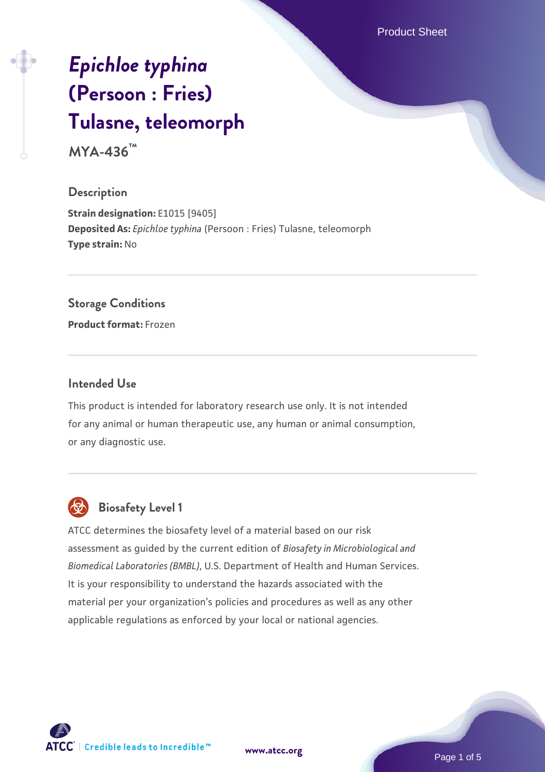Product Sheet

# *[Epichloe typhina](https://www.atcc.org/products/mya-436)* **[\(Persoon : Fries\)](https://www.atcc.org/products/mya-436) [Tulasne, teleomorph](https://www.atcc.org/products/mya-436)**

**MYA-436™**

#### **Description**

**Strain designation:** E1015 [9405] **Deposited As:** *Epichloe typhina* (Persoon : Fries) Tulasne, teleomorph **Type strain:** No

## **Storage Conditions**

**Product format:** Frozen

#### **Intended Use**

This product is intended for laboratory research use only. It is not intended for any animal or human therapeutic use, any human or animal consumption, or any diagnostic use.



# **Biosafety Level 1**

ATCC determines the biosafety level of a material based on our risk assessment as guided by the current edition of *Biosafety in Microbiological and Biomedical Laboratories (BMBL)*, U.S. Department of Health and Human Services. It is your responsibility to understand the hazards associated with the material per your organization's policies and procedures as well as any other applicable regulations as enforced by your local or national agencies.

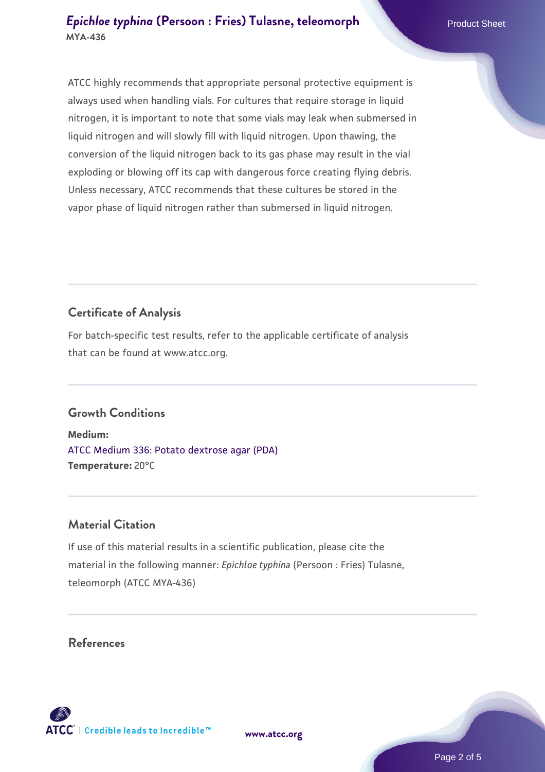ATCC highly recommends that appropriate personal protective equipment is always used when handling vials. For cultures that require storage in liquid nitrogen, it is important to note that some vials may leak when submersed in liquid nitrogen and will slowly fill with liquid nitrogen. Upon thawing, the conversion of the liquid nitrogen back to its gas phase may result in the vial exploding or blowing off its cap with dangerous force creating flying debris. Unless necessary, ATCC recommends that these cultures be stored in the vapor phase of liquid nitrogen rather than submersed in liquid nitrogen.

# **Certificate of Analysis**

For batch-specific test results, refer to the applicable certificate of analysis that can be found at www.atcc.org.

# **Growth Conditions**

**Medium:**  [ATCC Medium 336: Potato dextrose agar \(PDA\)](https://www.atcc.org/-/media/product-assets/documents/microbial-media-formulations/3/3/6/atcc-medium-336.pdf?rev=d9160ad44d934cd8b65175461abbf3b9) **Temperature:** 20°C

#### **Material Citation**

If use of this material results in a scientific publication, please cite the material in the following manner: *Epichloe typhina* (Persoon : Fries) Tulasne, teleomorph (ATCC MYA-436)

## **References**

**[www.atcc.org](http://www.atcc.org)**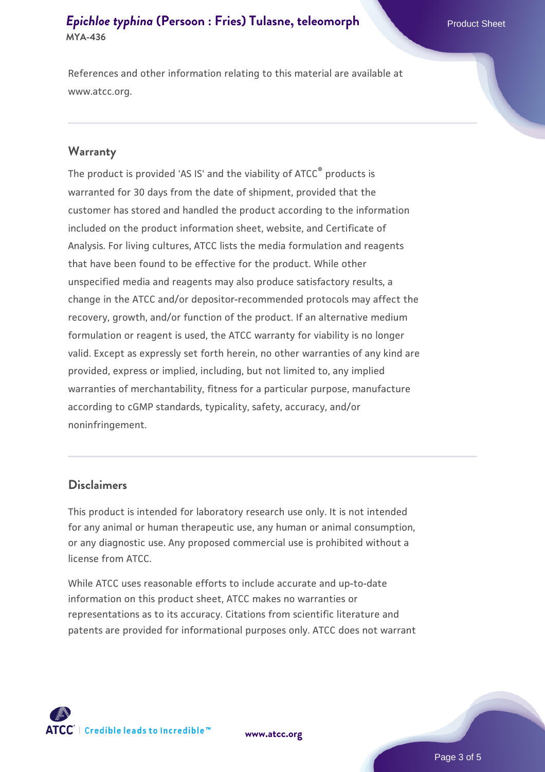# *[Epichloe typhina](https://www.atcc.org/products/mya-436)* [\(Persoon : Fries\) Tulasne, teleomorph](https://www.atcc.org/products/mya-436) Product Sheet **MYA-436**

References and other information relating to this material are available at www.atcc.org.

#### **Warranty**

The product is provided 'AS IS' and the viability of ATCC® products is warranted for 30 days from the date of shipment, provided that the customer has stored and handled the product according to the information included on the product information sheet, website, and Certificate of Analysis. For living cultures, ATCC lists the media formulation and reagents that have been found to be effective for the product. While other unspecified media and reagents may also produce satisfactory results, a change in the ATCC and/or depositor-recommended protocols may affect the recovery, growth, and/or function of the product. If an alternative medium formulation or reagent is used, the ATCC warranty for viability is no longer valid. Except as expressly set forth herein, no other warranties of any kind are provided, express or implied, including, but not limited to, any implied warranties of merchantability, fitness for a particular purpose, manufacture according to cGMP standards, typicality, safety, accuracy, and/or noninfringement.

#### **Disclaimers**

This product is intended for laboratory research use only. It is not intended for any animal or human therapeutic use, any human or animal consumption, or any diagnostic use. Any proposed commercial use is prohibited without a license from ATCC.

While ATCC uses reasonable efforts to include accurate and up-to-date information on this product sheet, ATCC makes no warranties or representations as to its accuracy. Citations from scientific literature and patents are provided for informational purposes only. ATCC does not warrant

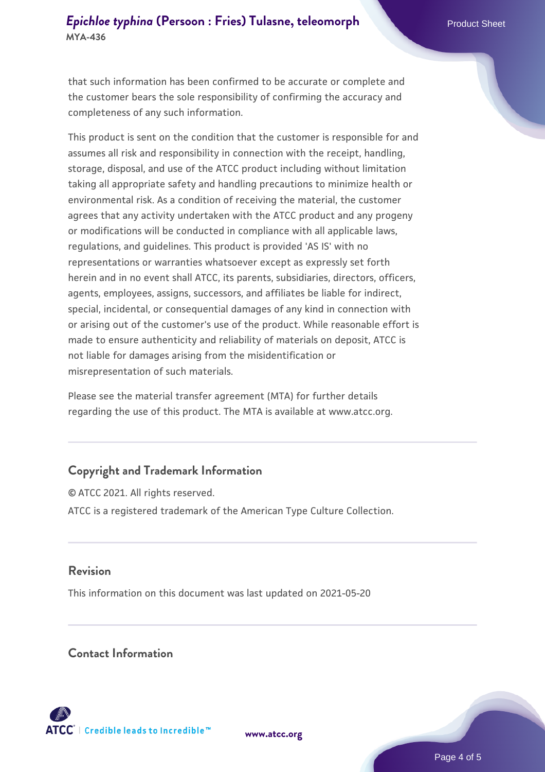# *[Epichloe typhina](https://www.atcc.org/products/mya-436)* [\(Persoon : Fries\) Tulasne, teleomorph](https://www.atcc.org/products/mya-436) Product Sheet **MYA-436**

that such information has been confirmed to be accurate or complete and the customer bears the sole responsibility of confirming the accuracy and completeness of any such information.

This product is sent on the condition that the customer is responsible for and assumes all risk and responsibility in connection with the receipt, handling, storage, disposal, and use of the ATCC product including without limitation taking all appropriate safety and handling precautions to minimize health or environmental risk. As a condition of receiving the material, the customer agrees that any activity undertaken with the ATCC product and any progeny or modifications will be conducted in compliance with all applicable laws, regulations, and guidelines. This product is provided 'AS IS' with no representations or warranties whatsoever except as expressly set forth herein and in no event shall ATCC, its parents, subsidiaries, directors, officers, agents, employees, assigns, successors, and affiliates be liable for indirect, special, incidental, or consequential damages of any kind in connection with or arising out of the customer's use of the product. While reasonable effort is made to ensure authenticity and reliability of materials on deposit, ATCC is not liable for damages arising from the misidentification or misrepresentation of such materials.

Please see the material transfer agreement (MTA) for further details regarding the use of this product. The MTA is available at www.atcc.org.

#### **Copyright and Trademark Information**

© ATCC 2021. All rights reserved. ATCC is a registered trademark of the American Type Culture Collection.

## **Revision**

This information on this document was last updated on 2021-05-20

## **Contact Information**



**[www.atcc.org](http://www.atcc.org)**